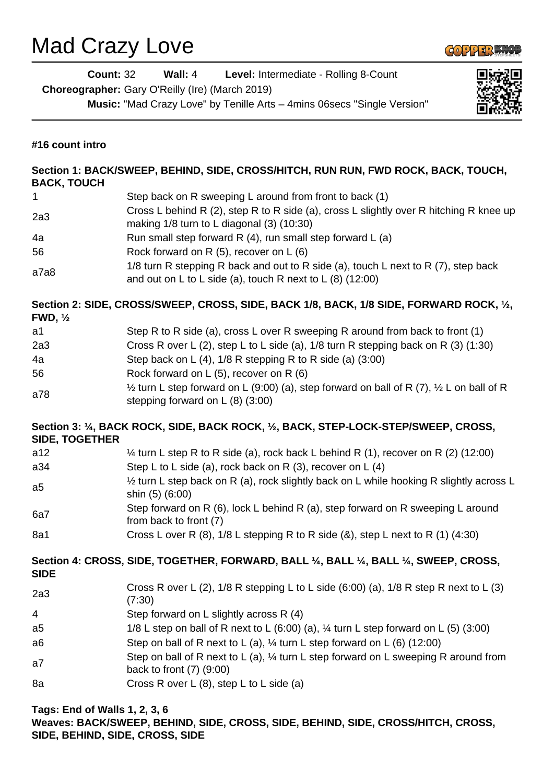## Mad Crazy Love



|                       | <b>Count: 32</b><br>Wall: 4<br>Level: Intermediate - Rolling 8-Count<br>Choreographer: Gary O'Reilly (Ire) (March 2019)                             |  |
|-----------------------|-----------------------------------------------------------------------------------------------------------------------------------------------------|--|
|                       | Music: "Mad Crazy Love" by Tenille Arts - 4mins 06 secs "Single Version"                                                                            |  |
| #16 count intro       |                                                                                                                                                     |  |
| <b>BACK, TOUCH</b>    | Section 1: BACK/SWEEP, BEHIND, SIDE, CROSS/HITCH, RUN RUN, FWD ROCK, BACK, TOUCH,                                                                   |  |
| 1                     | Step back on R sweeping L around from front to back (1)                                                                                             |  |
| 2a3                   | Cross L behind R (2), step R to R side (a), cross L slightly over R hitching R knee up<br>making 1/8 turn to L diagonal (3) (10:30)                 |  |
| 4a                    | Run small step forward R $(4)$ , run small step forward L $(a)$                                                                                     |  |
| 56                    | Rock forward on R (5), recover on L (6)                                                                                                             |  |
| a7a8                  | 1/8 turn R stepping R back and out to R side (a), touch L next to R (7), step back<br>and out on L to L side (a), touch R next to L $(8)$ (12:00)   |  |
| FWD, $\frac{1}{2}$    | Section 2: SIDE, CROSS/SWEEP, CROSS, SIDE, BACK 1/8, BACK, 1/8 SIDE, FORWARD ROCK, 1/2,                                                             |  |
| a1                    | Step R to R side (a), cross L over R sweeping R around from back to front (1)                                                                       |  |
| 2a3                   | Cross R over L (2), step L to L side (a), $1/8$ turn R stepping back on R (3) (1:30)                                                                |  |
| 4a                    | Step back on L $(4)$ , 1/8 R stepping R to R side $(a)$ $(3:00)$                                                                                    |  |
| 56                    | Rock forward on L (5), recover on R (6)                                                                                                             |  |
| a78                   | $\frac{1}{2}$ turn L step forward on L (9:00) (a), step forward on ball of R (7), $\frac{1}{2}$ L on ball of R<br>stepping forward on $L(8)$ (3:00) |  |
| <b>SIDE, TOGETHER</b> | Section 3: 1/4, BACK ROCK, SIDE, BACK ROCK, 1/2, BACK, STEP-LOCK-STEP/SWEEP, CROSS,                                                                 |  |
| a12                   | $\frac{1}{4}$ turn L step R to R side (a), rock back L behind R (1), recover on R (2) (12:00)                                                       |  |
| a34                   | Step L to L side (a), rock back on R $(3)$ , recover on L $(4)$                                                                                     |  |
| a5                    | 1/2 turn L step back on R (a), rock slightly back on L while hooking R slightly across L<br>shin (5) (6:00)                                         |  |
| 6a7                   | Step forward on R (6), lock L behind R (a), step forward on R sweeping L around<br>from back to front (7)                                           |  |
| 8a1                   | Cross L over R $(8)$ , 1/8 L stepping R to R side $(8)$ , step L next to R $(1)$ $(4:30)$                                                           |  |
| <b>SIDE</b>           | Section 4: CROSS, SIDE, TOGETHER, FORWARD, BALL 1/4, BALL 1/4, BALL 1/4, SWEEP, CROSS,                                                              |  |
| 2a3                   | Cross R over L (2), $1/8$ R stepping L to L side (6:00) (a), $1/8$ R step R next to L (3)<br>(7:30)                                                 |  |
| 4                     | Step forward on L slightly across R (4)                                                                                                             |  |
| a5                    | 1/8 L step on ball of R next to L (6:00) (a), $\frac{1}{4}$ turn L step forward on L (5) (3:00)                                                     |  |
| a6                    | Step on ball of R next to L (a), $\frac{1}{4}$ turn L step forward on L (6) (12:00)                                                                 |  |
| a7                    | Step on ball of R next to L (a), $\frac{1}{4}$ turn L step forward on L sweeping R around from<br>back to front $(7)$ $(9:00)$                      |  |
| 8a                    | Cross R over L (8), step L to L side (a)                                                                                                            |  |
|                       |                                                                                                                                                     |  |

**Tags: End of Walls 1, 2, 3, 6 Weaves: BACK/SWEEP, BEHIND, SIDE, CROSS, SIDE, BEHIND, SIDE, CROSS/HITCH, CROSS, SIDE, BEHIND, SIDE, CROSS, SIDE**